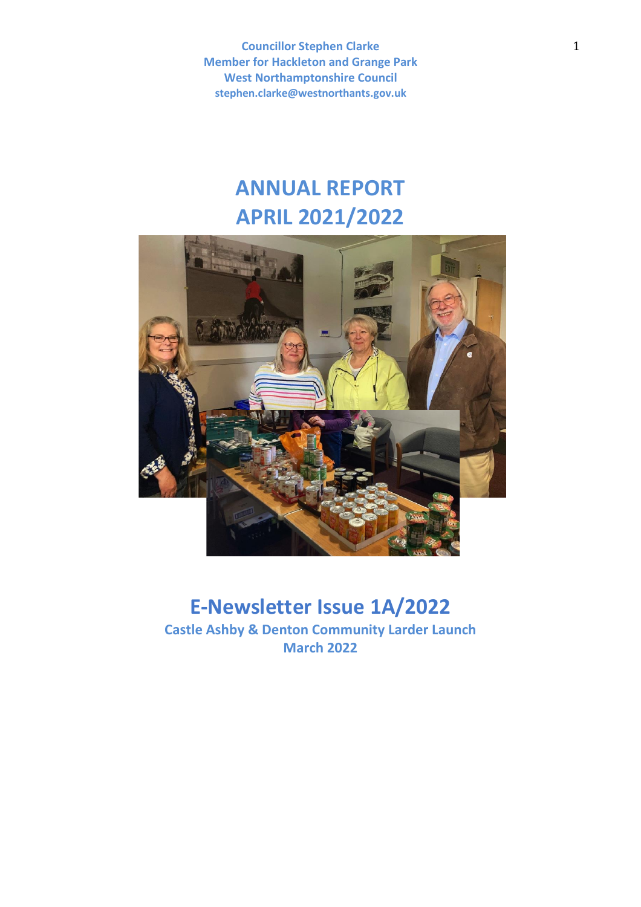# **ANNUAL REPORT APRIL 2021/2022**



# **E-Newsletter Issue 1A/2022**

**Castle Ashby & Denton Community Larder Launch March 2022**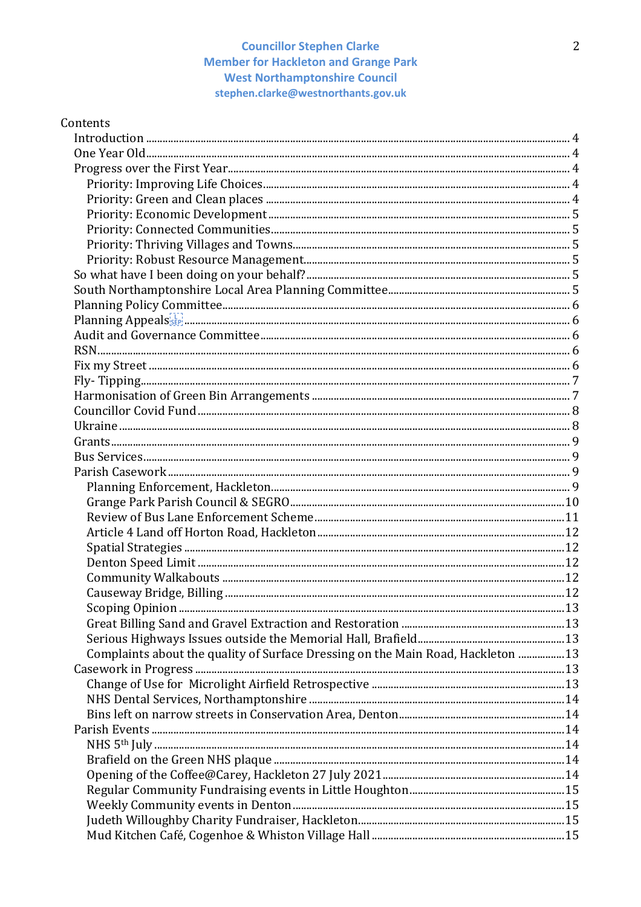| Contents                                                                        |  |
|---------------------------------------------------------------------------------|--|
|                                                                                 |  |
|                                                                                 |  |
|                                                                                 |  |
|                                                                                 |  |
|                                                                                 |  |
|                                                                                 |  |
|                                                                                 |  |
|                                                                                 |  |
|                                                                                 |  |
|                                                                                 |  |
|                                                                                 |  |
|                                                                                 |  |
|                                                                                 |  |
|                                                                                 |  |
|                                                                                 |  |
|                                                                                 |  |
|                                                                                 |  |
|                                                                                 |  |
|                                                                                 |  |
|                                                                                 |  |
|                                                                                 |  |
|                                                                                 |  |
|                                                                                 |  |
|                                                                                 |  |
|                                                                                 |  |
|                                                                                 |  |
|                                                                                 |  |
|                                                                                 |  |
|                                                                                 |  |
|                                                                                 |  |
|                                                                                 |  |
|                                                                                 |  |
|                                                                                 |  |
|                                                                                 |  |
| Complaints about the quality of Surface Dressing on the Main Road, Hackleton 13 |  |
|                                                                                 |  |
|                                                                                 |  |
|                                                                                 |  |
|                                                                                 |  |
|                                                                                 |  |
|                                                                                 |  |
|                                                                                 |  |
|                                                                                 |  |
|                                                                                 |  |
|                                                                                 |  |
|                                                                                 |  |
|                                                                                 |  |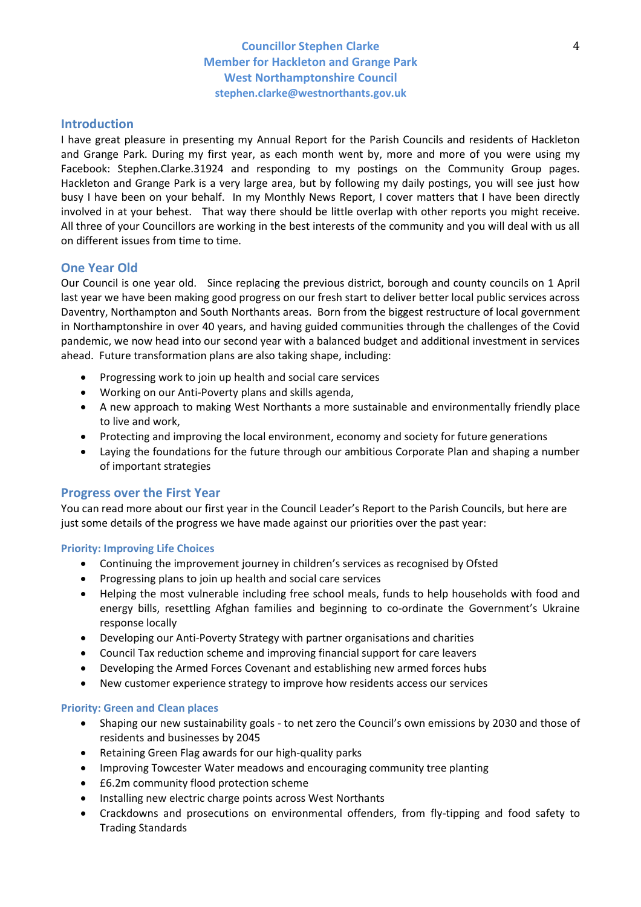# **Introduction**

I have great pleasure in presenting my Annual Report for the Parish Councils and residents of Hackleton and Grange Park. During my first year, as each month went by, more and more of you were using my Facebook: Stephen.Clarke.31924 and responding to my postings on the Community Group pages. Hackleton and Grange Park is a very large area, but by following my daily postings, you will see just how busy I have been on your behalf. In my Monthly News Report, I cover matters that I have been directly involved in at your behest. That way there should be little overlap with other reports you might receive. All three of your Councillors are working in the best interests of the community and you will deal with us all on different issues from time to time.

# **One Year Old**

Our Council is one year old. Since replacing the previous district, borough and county councils on 1 April last year we have been making good progress on our fresh start to deliver better local public services across Daventry, Northampton and South Northants areas. Born from the biggest restructure of local government in Northamptonshire in over 40 years, and having guided communities through the challenges of the Covid pandemic, we now head into our second year with a balanced budget and additional investment in services ahead. Future transformation plans are also taking shape, including:

- Progressing work to join up health and social care services
- Working on our Anti-Poverty plans and skills agenda,
- A new approach to making West Northants a more sustainable and environmentally friendly place to live and work,
- Protecting and improving the local environment, economy and society for future generations
- Laying the foundations for the future through our ambitious Corporate Plan and shaping a number of important strategies

### **Progress over the First Year**

You can read more about our first year in the Council Leader's Report to the Parish Councils, but here are just some details of the progress we have made against our priorities over the past year:

### **Priority: Improving Life Choices**

- Continuing the improvement journey in children's services as recognised by Ofsted
- Progressing plans to join up health and social care services
- Helping the most vulnerable including free school meals, funds to help households with food and energy bills, resettling Afghan families and beginning to co-ordinate the Government's Ukraine response locally
- Developing our Anti-Poverty Strategy with partner organisations and charities
- Council Tax reduction scheme and improving financial support for care leavers
- Developing the Armed Forces Covenant and establishing new armed forces hubs
- New customer experience strategy to improve how residents access our services

### **Priority: Green and Clean places**

- Shaping our new sustainability goals to net zero the Council's own emissions by 2030 and those of residents and businesses by 2045
- Retaining Green Flag awards for our high-quality parks
- Improving Towcester Water meadows and encouraging community tree planting
- £6.2m community flood protection scheme
- Installing new electric charge points across West Northants
- Crackdowns and prosecutions on environmental offenders, from fly-tipping and food safety to Trading Standards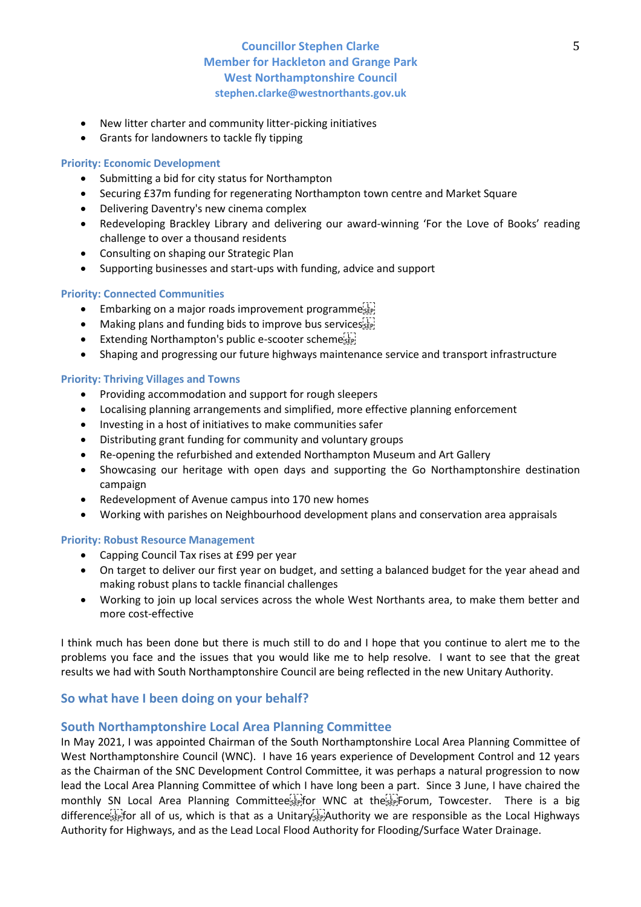- New litter charter and community litter-picking initiatives
- Grants for landowners to tackle fly tipping

### **Priority: Economic Development**

- Submitting a bid for city status for Northampton
- Securing £37m funding for regenerating Northampton town centre and Market Square
- Delivering Daventry's new cinema complex
- Redeveloping Brackley Library and delivering our award-winning 'For the Love of Books' reading challenge to over a thousand residents
- Consulting on shaping our Strategic Plan
- Supporting businesses and start-ups with funding, advice and support

### **Priority: Connected Communities**

- Embarking on a major roads improvement programme
- Making plans and funding bids to improve bus services seed
- Extending Northampton's public e-scooter schemesser
- Shaping and progressing our future highways maintenance service and transport infrastructure

### **Priority: Thriving Villages and Towns**

- Providing accommodation and support for rough sleepers
- Localising planning arrangements and simplified, more effective planning enforcement
- Investing in a host of initiatives to make communities safer
- Distributing grant funding for community and voluntary groups
- Re-opening the refurbished and extended Northampton Museum and Art Gallery
- Showcasing our heritage with open days and supporting the Go Northamptonshire destination campaign
- Redevelopment of Avenue campus into 170 new homes
- Working with parishes on Neighbourhood development plans and conservation area appraisals

### **Priority: Robust Resource Management**

- Capping Council Tax rises at £99 per year
- On target to deliver our first year on budget, and setting a balanced budget for the year ahead and making robust plans to tackle financial challenges
- Working to join up local services across the whole West Northants area, to make them better and more cost-effective

I think much has been done but there is much still to do and I hope that you continue to alert me to the problems you face and the issues that you would like me to help resolve. I want to see that the great results we had with South Northamptonshire Council are being reflected in the new Unitary Authority.

# **So what have I been doing on your behalf?**

# **South Northamptonshire Local Area Planning Committee**

In May 2021, I was appointed Chairman of the South Northamptonshire Local Area Planning Committee of West Northamptonshire Council (WNC). I have 16 years experience of Development Control and 12 years as the Chairman of the SNC Development Control Committee, it was perhaps a natural progression to now lead the Local Area Planning Committee of which I have long been a part. Since 3 June, I have chaired the monthly SN Local Area Planning Committee<sup>[1]</sup> for WNC at the  $\frac{1}{100}$  Forum, Towcester. There is a big difference step for all of us, which is that as a Unitary  $\overline{H}$  Authority we are responsible as the Local Highways Authority for Highways, and as the Lead Local Flood Authority for Flooding/Surface Water Drainage.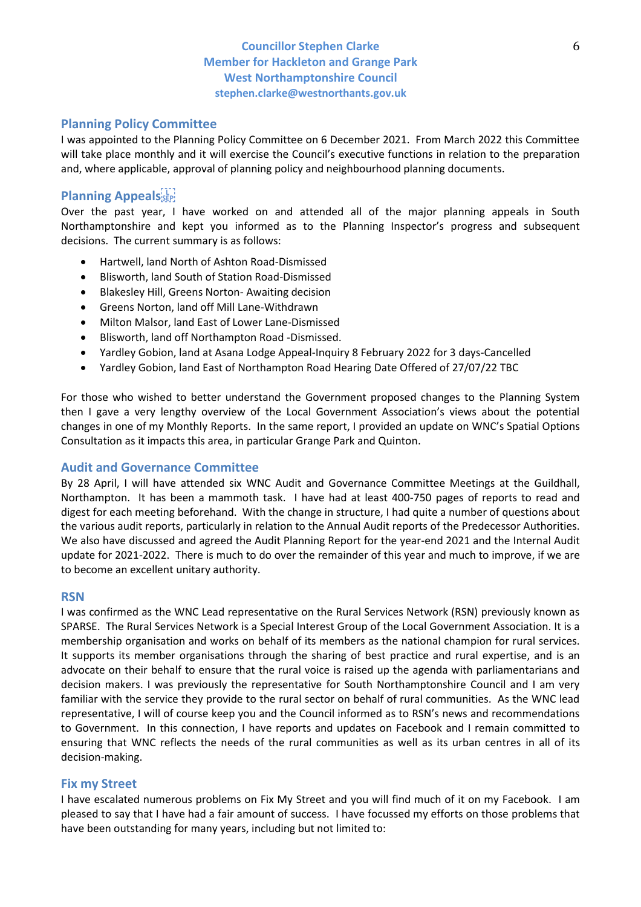# **Planning Policy Committee**

I was appointed to the Planning Policy Committee on 6 December 2021. From March 2022 this Committee will take place monthly and it will exercise the Council's executive functions in relation to the preparation and, where applicable, approval of planning policy and neighbourhood planning documents.

# **Planning Appeals**

Over the past year, I have worked on and attended all of the major planning appeals in South Northamptonshire and kept you informed as to the Planning Inspector's progress and subsequent decisions. The current summary is as follows:

- Hartwell, land North of Ashton Road-Dismissed
- Blisworth, land South of Station Road-Dismissed
- Blakesley Hill, Greens Norton- Awaiting decision
- Greens Norton, land off Mill Lane-Withdrawn
- Milton Malsor, land East of Lower Lane-Dismissed
- Blisworth, land off Northampton Road -Dismissed.
- Yardley Gobion, land at Asana Lodge Appeal-Inquiry 8 February 2022 for 3 days-Cancelled
- Yardley Gobion, land East of Northampton Road Hearing Date Offered of 27/07/22 TBC

For those who wished to better understand the Government proposed changes to the Planning System then I gave a very lengthy overview of the Local Government Association's views about the potential changes in one of my Monthly Reports. In the same report, I provided an update on WNC's Spatial Options Consultation as it impacts this area, in particular Grange Park and Quinton.

# **Audit and Governance Committee**

By 28 April, I will have attended six WNC Audit and Governance Committee Meetings at the Guildhall, Northampton. It has been a mammoth task. I have had at least 400-750 pages of reports to read and digest for each meeting beforehand. With the change in structure, I had quite a number of questions about the various audit reports, particularly in relation to the Annual Audit reports of the Predecessor Authorities. We also have discussed and agreed the Audit Planning Report for the year-end 2021 and the Internal Audit update for 2021-2022. There is much to do over the remainder of this year and much to improve, if we are to become an excellent unitary authority.

### **RSN**

I was confirmed as the WNC Lead representative on the Rural Services Network (RSN) previously known as SPARSE. The Rural Services Network is a Special Interest Group of the Local Government Association. It is a membership organisation and works on behalf of its members as the national champion for rural services. It supports its member organisations through the sharing of best practice and rural expertise, and is an advocate on their behalf to ensure that the rural voice is raised up the agenda with parliamentarians and decision makers. I was previously the representative for South Northamptonshire Council and I am very familiar with the service they provide to the rural sector on behalf of rural communities. As the WNC lead representative, I will of course keep you and the Council informed as to RSN's news and recommendations to Government. In this connection, I have reports and updates on Facebook and I remain committed to ensuring that WNC reflects the needs of the rural communities as well as its urban centres in all of its decision-making.

### **Fix my Street**

I have escalated numerous problems on Fix My Street and you will find much of it on my Facebook. I am pleased to say that I have had a fair amount of success. I have focussed my efforts on those problems that have been outstanding for many years, including but not limited to: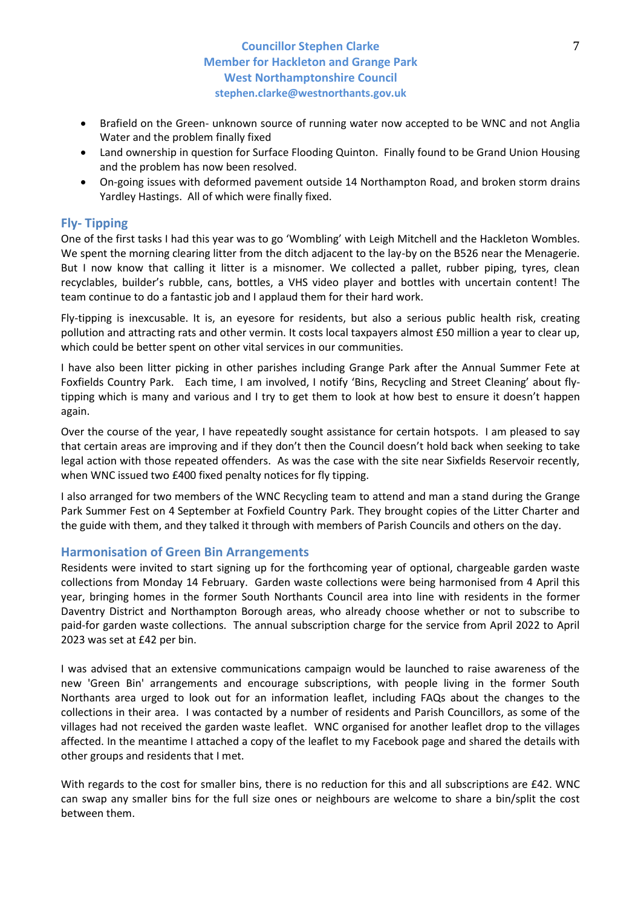- Brafield on the Green- unknown source of running water now accepted to be WNC and not Anglia Water and the problem finally fixed
- Land ownership in question for Surface Flooding Quinton. Finally found to be Grand Union Housing and the problem has now been resolved.
- On-going issues with deformed pavement outside 14 Northampton Road, and broken storm drains Yardley Hastings. All of which were finally fixed.

# **Fly- Tipping**

One of the first tasks I had this year was to go 'Wombling' with Leigh Mitchell and the Hackleton Wombles. We spent the morning clearing litter from the ditch adjacent to the lay-by on the B526 near the Menagerie. But I now know that calling it litter is a misnomer. We collected a pallet, rubber piping, tyres, clean recyclables, builder's rubble, cans, bottles, a VHS video player and bottles with uncertain content! The team continue to do a fantastic job and I applaud them for their hard work.

Fly-tipping is inexcusable. It is, an eyesore for residents, but also a serious public health risk, creating pollution and attracting rats and other vermin. It costs local taxpayers almost £50 million a year to clear up, which could be better spent on other vital services in our communities.

I have also been litter picking in other parishes including Grange Park after the Annual Summer Fete at Foxfields Country Park. Each time, I am involved, I notify 'Bins, Recycling and Street Cleaning' about flytipping which is many and various and I try to get them to look at how best to ensure it doesn't happen again.

Over the course of the year, I have repeatedly sought assistance for certain hotspots. I am pleased to say that certain areas are improving and if they don't then the Council doesn't hold back when seeking to take legal action with those repeated offenders. As was the case with the site near Sixfields Reservoir recently, when WNC issued two £400 fixed penalty notices for fly tipping.

I also arranged for two members of the WNC Recycling team to attend and man a stand during the Grange Park Summer Fest on 4 September at Foxfield Country Park. They brought copies of the Litter Charter and the guide with them, and they talked it through with members of Parish Councils and others on the day.

# **Harmonisation of Green Bin Arrangements**

Residents were invited to start signing up for the forthcoming year of optional, chargeable garden waste collections from Monday 14 February. Garden waste collections were being harmonised from 4 April this year, bringing homes in the former South Northants Council area into line with residents in the former Daventry District and Northampton Borough areas, who already choose whether or not to subscribe to paid-for garden waste collections. The annual subscription charge for the service from April 2022 to April 2023 was set at £42 per bin.

I was advised that an extensive communications campaign would be launched to raise awareness of the new 'Green Bin' arrangements and encourage subscriptions, with people living in the former South Northants area urged to look out for an information leaflet, including FAQs about the changes to the collections in their area. I was contacted by a number of residents and Parish Councillors, as some of the villages had not received the garden waste leaflet. WNC organised for another leaflet drop to the villages affected. In the meantime I attached a copy of the leaflet to my Facebook page and shared the details with other groups and residents that I met.

With regards to the cost for smaller bins, there is no reduction for this and all subscriptions are £42. WNC can swap any smaller bins for the full size ones or neighbours are welcome to share a bin/split the cost between them.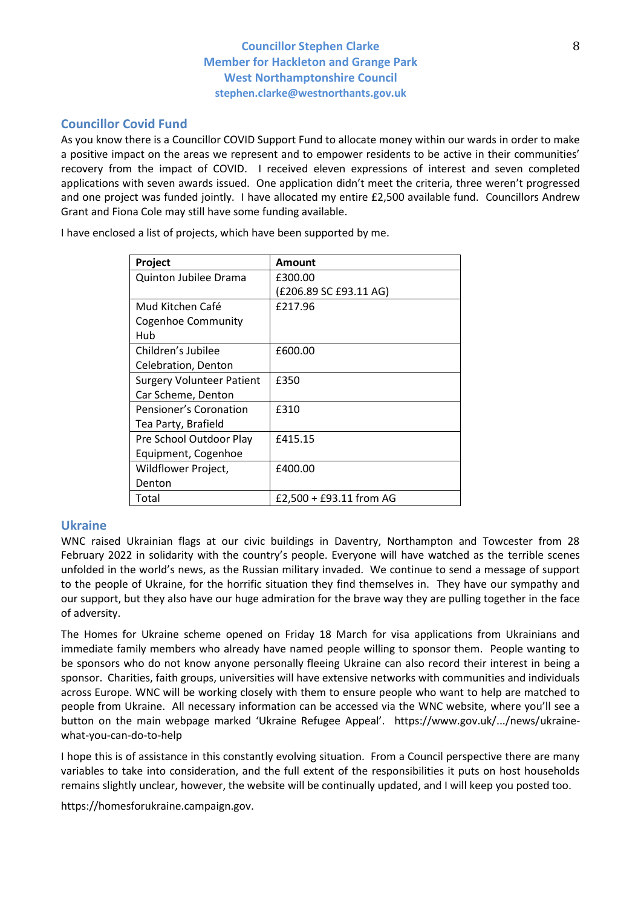# **Councillor Covid Fund**

As you know there is a Councillor COVID Support Fund to allocate money within our wards in order to make a positive impact on the areas we represent and to empower residents to be active in their communities' recovery from the impact of COVID. I received eleven expressions of interest and seven completed applications with seven awards issued. One application didn't meet the criteria, three weren't progressed and one project was funded jointly. I have allocated my entire £2,500 available fund. Councillors Andrew Grant and Fiona Cole may still have some funding available.

| Project                          | Amount                  |
|----------------------------------|-------------------------|
| Quinton Jubilee Drama            | £300.00                 |
|                                  | (£206.89 SC £93.11 AG)  |
| Mud Kitchen Café                 | £217.96                 |
| <b>Cogenhoe Community</b>        |                         |
| Hub                              |                         |
| Children's Jubilee               | £600.00                 |
| Celebration, Denton              |                         |
| <b>Surgery Volunteer Patient</b> | £350                    |
| Car Scheme, Denton               |                         |
| Pensioner's Coronation           | £310                    |
| Tea Party, Brafield              |                         |
| Pre School Outdoor Play          | £415.15                 |
| Equipment, Cogenhoe              |                         |
| Wildflower Project,              | £400.00                 |
| Denton                           |                         |
| Total                            | £2,500 + £93.11 from AG |

I have enclosed a list of projects, which have been supported by me.

# **Ukraine**

WNC raised Ukrainian flags at our civic buildings in Daventry, Northampton and Towcester from 28 February 2022 in solidarity with the country's people. Everyone will have watched as the terrible scenes unfolded in the world's news, as the Russian military invaded. We continue to send a message of support to the people of Ukraine, for the horrific situation they find themselves in. They have our sympathy and our support, but they also have our huge admiration for the brave way they are pulling together in the face of adversity.

The Homes for Ukraine scheme opened on Friday 18 March for visa applications from Ukrainians and immediate family members who already have named people willing to sponsor them. People wanting to be sponsors who do not know anyone personally fleeing Ukraine can also record their interest in being a sponsor. Charities, faith groups, universities will have extensive networks with communities and individuals across Europe. WNC will be working closely with them to ensure people who want to help are matched to people from Ukraine. All necessary information can be accessed via the WNC website, where you'll see a button on the main webpage marked 'Ukraine Refugee Appeal'. https://www.gov.uk/.../news/ukrainewhat-you-can-do-to-help

I hope this is of assistance in this constantly evolving situation. From a Council perspective there are many variables to take into consideration, and the full extent of the responsibilities it puts on host households remains slightly unclear, however, the website will be continually updated, and I will keep you posted too.

https://homesforukraine.campaign.gov.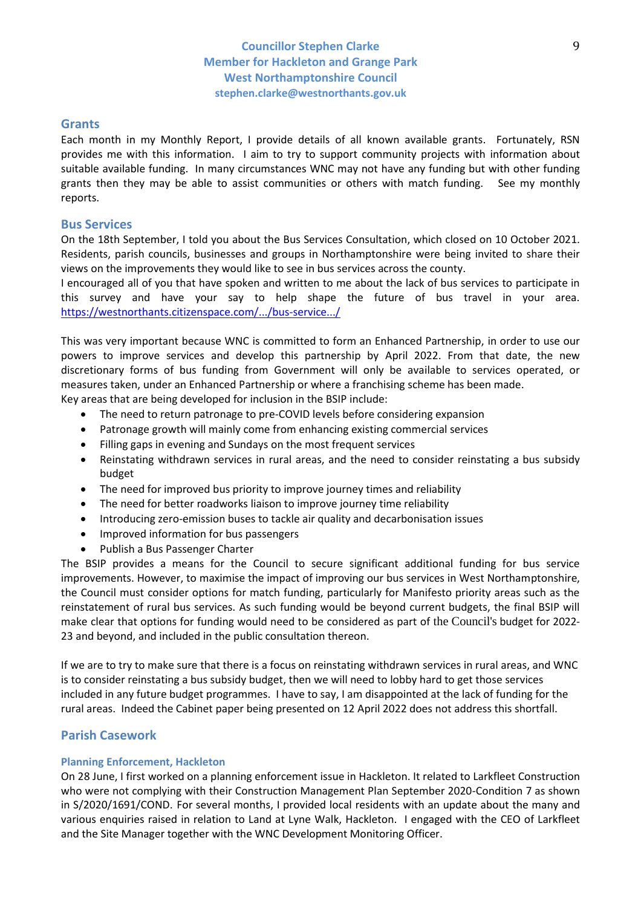### **Grants**

Each month in my Monthly Report, I provide details of all known available grants. Fortunately, RSN provides me with this information. I aim to try to support community projects with information about suitable available funding. In many circumstances WNC may not have any funding but with other funding grants then they may be able to assist communities or others with match funding. See my monthly reports.

### **Bus Services**

On the 18th September, I told you about the Bus Services Consultation, which closed on 10 October 2021. Residents, parish councils, businesses and groups in Northamptonshire were being invited to share their views on the improvements they would like to see in bus services across the county.

I encouraged all of you that have spoken and written to me about the lack of bus services to participate in this survey and have your say to help shape the future of bus travel in your area. [https://westnorthants.citizenspace.com/.../bus-service.../](https://l.facebook.com/l.php?u=https%3A%2F%2Fwestnorthants.citizenspace.com%2Ftravel-choices%2Fbus-service-improvement%2F%3Ffbclid%3DIwAR1BcE9TzAoJjCJzJ8az1zOaHO0e57L0KPIoHXzL0M1gslvmUYdopqZOH6s&h=AT1K8Uta-gZAzmoSj2PMwczp8mXHSCJwWF8tg4sar66wR6ZGbXhdNbYr9F42WOyYUyDXGGHPUZRYPXCf_zjE0YG5EMoJdygRcfoq5caSUjYsbsQfiI3xCxd8BXrNel9pn5Q2iAMuv90Zyjcjnkw_NT8jAA&__tn__=-UK-R&c%5B0%5D=AT1iMtAqjHY0Bj9Jd1MsnaVM1_J7Tccma5c0EL-jiNE1AZ4aTbLEy_B-OwGlT5AUC5zd-Vo5ylIXl_nz-GQlmiR9l4-wLOQCaZgMRK0MJwh84FniZRz9tyfKK8dYegJM24VB8xf1Q4KakdEc-gMFSvb3)

This was very important because WNC is committed to form an Enhanced Partnership, in order to use our powers to improve services and develop this partnership by April 2022. From that date, the new discretionary forms of bus funding from Government will only be available to services operated, or measures taken, under an Enhanced Partnership or where a franchising scheme has been made.

Key areas that are being developed for inclusion in the BSIP include:

- The need to return patronage to pre-COVID levels before considering expansion
- Patronage growth will mainly come from enhancing existing commercial services
- Filling gaps in evening and Sundays on the most frequent services
- Reinstating withdrawn services in rural areas, and the need to consider reinstating a bus subsidy budget
- The need for improved bus priority to improve journey times and reliability
- The need for better roadworks liaison to improve journey time reliability
- Introducing zero-emission buses to tackle air quality and decarbonisation issues
- Improved information for bus passengers
- Publish a Bus Passenger Charter

The BSIP provides a means for the Council to secure significant additional funding for bus service improvements. However, to maximise the impact of improving our bus services in West Northamptonshire, the Council must consider options for match funding, particularly for Manifesto priority areas such as the reinstatement of rural bus services. As such funding would be beyond current budgets, the final BSIP will make clear that options for funding would need to be considered as part of the Council's budget for 2022- 23 and beyond, and included in the public consultation thereon.

If we are to try to make sure that there is a focus on reinstating withdrawn services in rural areas, and WNC is to consider reinstating a bus subsidy budget, then we will need to lobby hard to get those services included in any future budget programmes. I have to say, I am disappointed at the lack of funding for the rural areas. Indeed the Cabinet paper being presented on 12 April 2022 does not address this shortfall.

# **Parish Casework**

### **Planning Enforcement, Hackleton**

On 28 June, I first worked on a planning enforcement issue in Hackleton. It related to Larkfleet Construction who were not complying with their Construction Management Plan September 2020-Condition 7 as shown in S/2020/1691/COND. For several months, I provided local residents with an update about the many and various enquiries raised in relation to Land at Lyne Walk, Hackleton. I engaged with the CEO of Larkfleet and the Site Manager together with the WNC Development Monitoring Officer.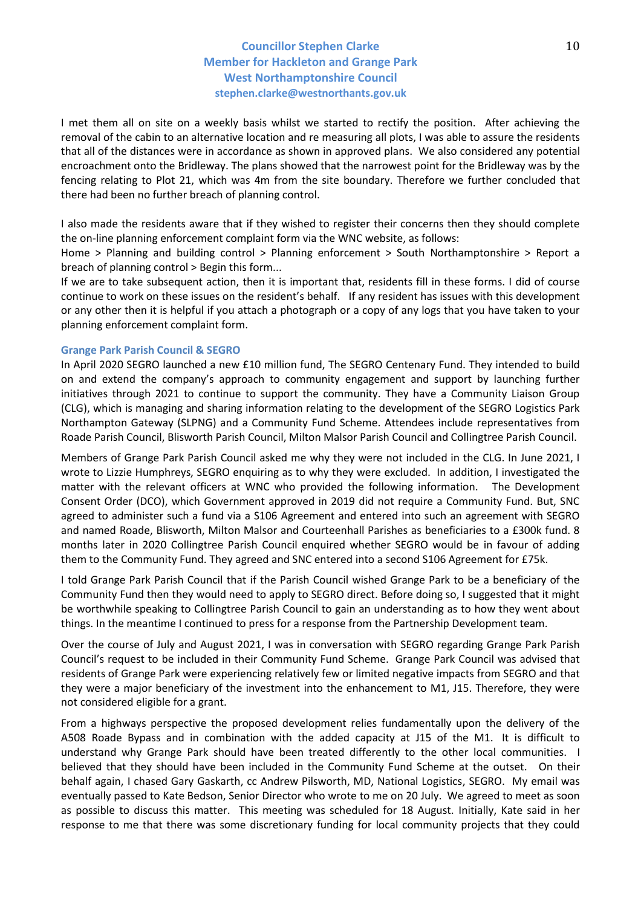I met them all on site on a weekly basis whilst we started to rectify the position. After achieving the removal of the cabin to an alternative location and re measuring all plots, I was able to assure the residents that all of the distances were in accordance as shown in approved plans. We also considered any potential encroachment onto the Bridleway. The plans showed that the narrowest point for the Bridleway was by the fencing relating to Plot 21, which was 4m from the site boundary. Therefore we further concluded that there had been no further breach of planning control.

I also made the residents aware that if they wished to register their concerns then they should complete the on-line planning enforcement complaint form via the WNC website, as follows:

Home > Planning and building control > Planning enforcement > South Northamptonshire > Report a breach of planning control > Begin this form...

If we are to take subsequent action, then it is important that, residents fill in these forms. I did of course continue to work on these issues on the resident's behalf. If any resident has issues with this development or any other then it is helpful if you attach a photograph or a copy of any logs that you have taken to your planning enforcement complaint form.

#### **Grange Park Parish Council & SEGRO**

In April 2020 SEGRO launched a new £10 million fund, The SEGRO Centenary Fund. They intended to build on and extend the company's approach to community engagement and support by launching further initiatives through 2021 to continue to support the community. They have a Community Liaison Group (CLG), which is managing and sharing information relating to the development of the SEGRO Logistics Park Northampton Gateway (SLPNG) and a Community Fund Scheme. Attendees include representatives from Roade Parish Council, Blisworth Parish Council, Milton Malsor Parish Council and Collingtree Parish Council.

Members of Grange Park Parish Council asked me why they were not included in the CLG. In June 2021, I wrote to Lizzie Humphreys, SEGRO enquiring as to why they were excluded. In addition, I investigated the matter with the relevant officers at WNC who provided the following information. The Development Consent Order (DCO), which Government approved in 2019 did not require a Community Fund. But, SNC agreed to administer such a fund via a S106 Agreement and entered into such an agreement with SEGRO and named Roade, Blisworth, Milton Malsor and Courteenhall Parishes as beneficiaries to a £300k fund. 8 months later in 2020 Collingtree Parish Council enquired whether SEGRO would be in favour of adding them to the Community Fund. They agreed and SNC entered into a second S106 Agreement for £75k.

I told Grange Park Parish Council that if the Parish Council wished Grange Park to be a beneficiary of the Community Fund then they would need to apply to SEGRO direct. Before doing so, I suggested that it might be worthwhile speaking to Collingtree Parish Council to gain an understanding as to how they went about things. In the meantime I continued to press for a response from the Partnership Development team.

Over the course of July and August 2021, I was in conversation with SEGRO regarding Grange Park Parish Council's request to be included in their Community Fund Scheme. Grange Park Council was advised that residents of Grange Park were experiencing relatively few or limited negative impacts from SEGRO and that they were a major beneficiary of the investment into the enhancement to M1, J15. Therefore, they were not considered eligible for a grant.

From a highways perspective the proposed development relies fundamentally upon the delivery of the A508 Roade Bypass and in combination with the added capacity at J15 of the M1. It is difficult to understand why Grange Park should have been treated differently to the other local communities. I believed that they should have been included in the Community Fund Scheme at the outset. On their behalf again, I chased Gary Gaskarth, cc Andrew Pilsworth, MD, National Logistics, SEGRO. My email was eventually passed to Kate Bedson, Senior Director who wrote to me on 20 July. We agreed to meet as soon as possible to discuss this matter. This meeting was scheduled for 18 August. Initially, Kate said in her response to me that there was some discretionary funding for local community projects that they could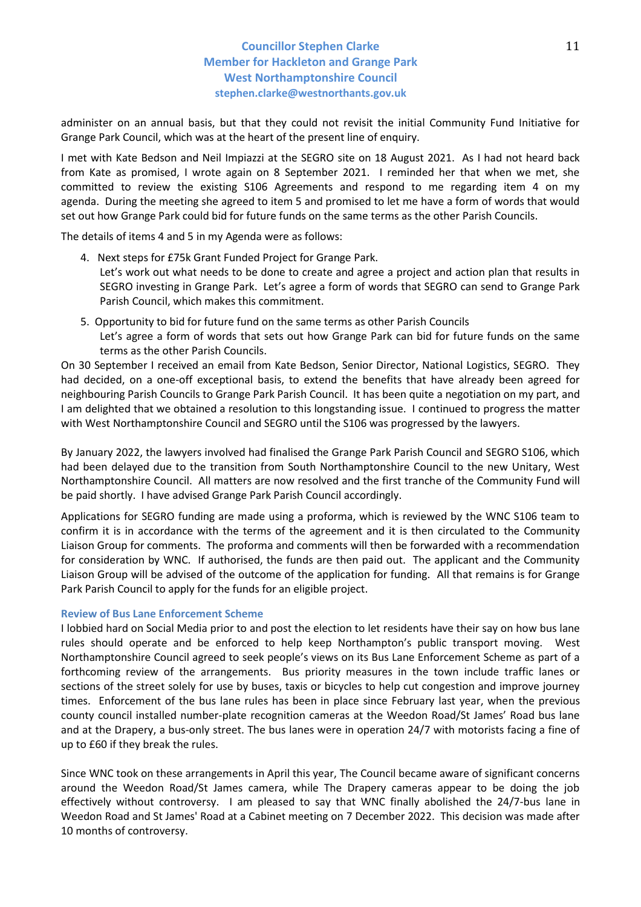administer on an annual basis, but that they could not revisit the initial Community Fund Initiative for Grange Park Council, which was at the heart of the present line of enquiry.

I met with Kate Bedson and Neil Impiazzi at the SEGRO site on 18 August 2021. As I had not heard back from Kate as promised, I wrote again on 8 September 2021. I reminded her that when we met, she committed to review the existing S106 Agreements and respond to me regarding item 4 on my agenda. During the meeting she agreed to item 5 and promised to let me have a form of words that would set out how Grange Park could bid for future funds on the same terms as the other Parish Councils.

The details of items 4 and 5 in my Agenda were as follows:

- 4. Next steps for £75k Grant Funded Project for Grange Park. Let's work out what needs to be done to create and agree a project and action plan that results in SEGRO investing in Grange Park. Let's agree a form of words that SEGRO can send to Grange Park Parish Council, which makes this commitment.
- 5. Opportunity to bid for future fund on the same terms as other Parish Councils Let's agree a form of words that sets out how Grange Park can bid for future funds on the same terms as the other Parish Councils.

On 30 September I received an email from Kate Bedson, Senior Director, National Logistics, SEGRO. They had decided, on a one-off exceptional basis, to extend the benefits that have already been agreed for neighbouring Parish Councils to Grange Park Parish Council. It has been quite a negotiation on my part, and I am delighted that we obtained a resolution to this longstanding issue. I continued to progress the matter with West Northamptonshire Council and SEGRO until the S106 was progressed by the lawyers.

By January 2022, the lawyers involved had finalised the Grange Park Parish Council and SEGRO S106, which had been delayed due to the transition from South Northamptonshire Council to the new Unitary, West Northamptonshire Council. All matters are now resolved and the first tranche of the Community Fund will be paid shortly. I have advised Grange Park Parish Council accordingly.

Applications for SEGRO funding are made using a proforma, which is reviewed by the WNC S106 team to confirm it is in accordance with the terms of the agreement and it is then circulated to the Community Liaison Group for comments. The proforma and comments will then be forwarded with a recommendation for consideration by WNC. If authorised, the funds are then paid out. The applicant and the Community Liaison Group will be advised of the outcome of the application for funding. All that remains is for Grange Park Parish Council to apply for the funds for an eligible project.

### **Review of Bus Lane Enforcement Scheme**

I lobbied hard on Social Media prior to and post the election to let residents have their say on how bus lane rules should operate and be enforced to help keep Northampton's public transport moving. West Northamptonshire Council agreed to seek people's views on its Bus Lane Enforcement Scheme as part of a forthcoming review of the arrangements. Bus priority measures in the town include traffic lanes or sections of the street solely for use by buses, taxis or bicycles to help cut congestion and improve journey times. Enforcement of the bus lane rules has been in place since February last year, when the previous county council installed number-plate recognition cameras at the Weedon Road/St James' Road bus lane and at the Drapery, a bus-only street. The bus lanes were in operation 24/7 with motorists facing a fine of up to £60 if they break the rules.

Since WNC took on these arrangements in April this year, The Council became aware of significant concerns around the Weedon Road/St James camera, while The Drapery cameras appear to be doing the job effectively without controversy. I am pleased to say that WNC finally abolished the 24/7-bus lane in Weedon Road and St James' Road at a Cabinet meeting on 7 December 2022. This decision was made after 10 months of controversy.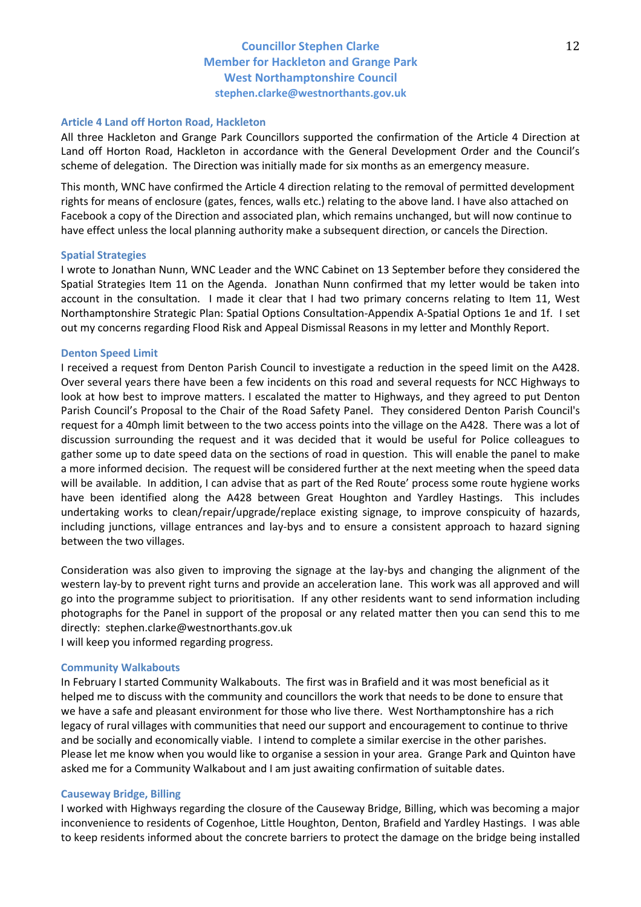#### **Article 4 Land off Horton Road, Hackleton**

All three Hackleton and Grange Park Councillors supported the confirmation of the Article 4 Direction at Land off Horton Road, Hackleton in accordance with the General Development Order and the Council's scheme of delegation. The Direction was initially made for six months as an emergency measure.

This month, WNC have confirmed the Article 4 direction relating to the removal of permitted development rights for means of enclosure (gates, fences, walls etc.) relating to the above land. I have also attached on Facebook a copy of the Direction and associated plan, which remains unchanged, but will now continue to have effect unless the local planning authority make a subsequent direction, or cancels the Direction.

#### **Spatial Strategies**

I wrote to Jonathan Nunn, WNC Leader and the WNC Cabinet on 13 September before they considered the Spatial Strategies Item 11 on the Agenda. Jonathan Nunn confirmed that my letter would be taken into account in the consultation. I made it clear that I had two primary concerns relating to Item 11, West Northamptonshire Strategic Plan: Spatial Options Consultation-Appendix A-Spatial Options 1e and 1f. I set out my concerns regarding Flood Risk and Appeal Dismissal Reasons in my letter and Monthly Report.

#### **Denton Speed Limit**

I received a request from Denton Parish Council to investigate a reduction in the speed limit on the A428. Over several years there have been a few incidents on this road and several requests for NCC Highways to look at how best to improve matters. I escalated the matter to Highways, and they agreed to put Denton Parish Council's Proposal to the Chair of the Road Safety Panel. They considered Denton Parish Council's request for a 40mph limit between to the two access points into the village on the A428. There was a lot of discussion surrounding the request and it was decided that it would be useful for Police colleagues to gather some up to date speed data on the sections of road in question. This will enable the panel to make a more informed decision. The request will be considered further at the next meeting when the speed data will be available. In addition, I can advise that as part of the Red Route' process some route hygiene works have been identified along the A428 between Great Houghton and Yardley Hastings. This includes undertaking works to clean/repair/upgrade/replace existing signage, to improve conspicuity of hazards, including junctions, village entrances and lay-bys and to ensure a consistent approach to hazard signing between the two villages.

Consideration was also given to improving the signage at the lay-bys and changing the alignment of the western lay-by to prevent right turns and provide an acceleration lane. This work was all approved and will go into the programme subject to prioritisation. If any other residents want to send information including photographs for the Panel in support of the proposal or any related matter then you can send this to me directly: stephen.clarke@westnorthants.gov.uk I will keep you informed regarding progress.

# **Community Walkabouts**

In February I started Community Walkabouts. The first was in Brafield and it was most beneficial as it helped me to discuss with the community and councillors the work that needs to be done to ensure that we have a safe and pleasant environment for those who live there. West Northamptonshire has a rich legacy of rural villages with communities that need our support and encouragement to continue to thrive and be socially and economically viable. I intend to complete a similar exercise in the other parishes. Please let me know when you would like to organise a session in your area. Grange Park and Quinton have asked me for a Community Walkabout and I am just awaiting confirmation of suitable dates.

### **Causeway Bridge, Billing**

I worked with Highways regarding the closure of the Causeway Bridge, Billing, which was becoming a major inconvenience to residents of Cogenhoe, Little Houghton, Denton, Brafield and Yardley Hastings. I was able to keep residents informed about the concrete barriers to protect the damage on the bridge being installed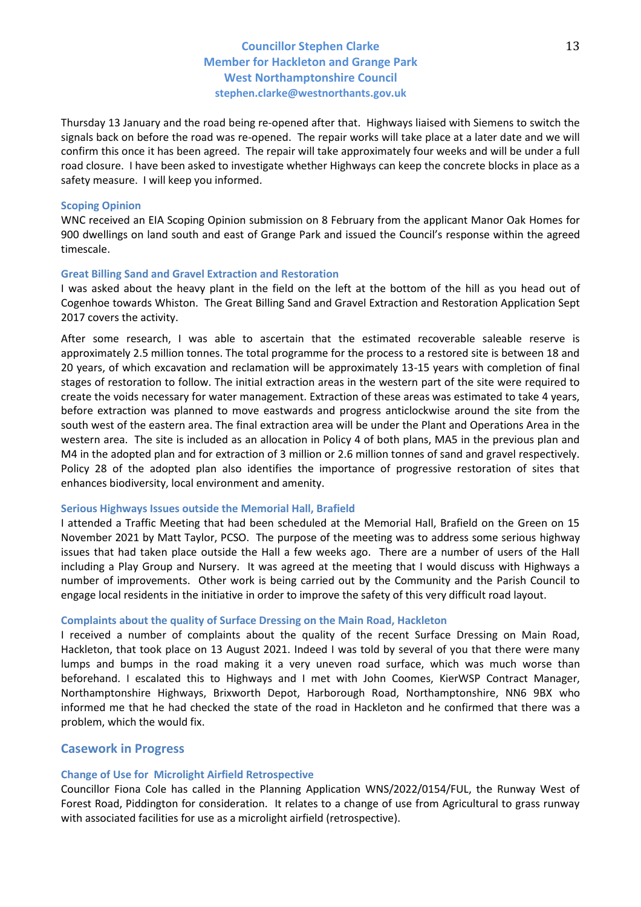Thursday 13 January and the road being re-opened after that. Highways liaised with Siemens to switch the signals back on before the road was re-opened. The repair works will take place at a later date and we will confirm this once it has been agreed. The repair will take approximately four weeks and will be under a full road closure. I have been asked to investigate whether Highways can keep the concrete blocks in place as a safety measure. I will keep you informed.

#### **Scoping Opinion**

WNC received an EIA Scoping Opinion submission on 8 February from the applicant Manor Oak Homes for 900 dwellings on land south and east of Grange Park and issued the Council's response within the agreed timescale.

#### **Great Billing Sand and Gravel Extraction and Restoration**

I was asked about the heavy plant in the field on the left at the bottom of the hill as you head out of Cogenhoe towards Whiston. The Great Billing Sand and Gravel Extraction and Restoration Application Sept 2017 covers the activity.

After some research, I was able to ascertain that the estimated recoverable saleable reserve is approximately 2.5 million tonnes. The total programme for the process to a restored site is between 18 and 20 years, of which excavation and reclamation will be approximately 13-15 years with completion of final stages of restoration to follow. The initial extraction areas in the western part of the site were required to create the voids necessary for water management. Extraction of these areas was estimated to take 4 years, before extraction was planned to move eastwards and progress anticlockwise around the site from the south west of the eastern area. The final extraction area will be under the Plant and Operations Area in the western area. The site is included as an allocation in Policy 4 of both plans, MA5 in the previous plan and M4 in the adopted plan and for extraction of 3 million or 2.6 million tonnes of sand and gravel respectively. Policy 28 of the adopted plan also identifies the importance of progressive restoration of sites that enhances biodiversity, local environment and amenity.

#### **Serious Highways Issues outside the Memorial Hall, Brafield**

I attended a Traffic Meeting that had been scheduled at the Memorial Hall, Brafield on the Green on 15 November 2021 by Matt Taylor, PCSO. The purpose of the meeting was to address some serious highway issues that had taken place outside the Hall a few weeks ago. There are a number of users of the Hall including a Play Group and Nursery. It was agreed at the meeting that I would discuss with Highways a number of improvements. Other work is being carried out by the Community and the Parish Council to engage local residents in the initiative in order to improve the safety of this very difficult road layout.

### **Complaints about the quality of Surface Dressing on the Main Road, Hackleton**

I received a number of complaints about the quality of the recent Surface Dressing on Main Road, Hackleton, that took place on 13 August 2021. Indeed I was told by several of you that there were many lumps and bumps in the road making it a very uneven road surface, which was much worse than beforehand. I escalated this to Highways and I met with John Coomes, KierWSP Contract Manager, Northamptonshire Highways, Brixworth Depot, Harborough Road, Northamptonshire, NN6 9BX who informed me that he had checked the state of the road in Hackleton and he confirmed that there was a problem, which the would fix.

#### **Casework in Progress**

#### **Change of Use for Microlight Airfield Retrospective**

Councillor Fiona Cole has called in the Planning Application WNS/2022/0154/FUL, the Runway West of Forest Road, Piddington for consideration. It relates to a change of use from Agricultural to grass runway with associated facilities for use as a microlight airfield (retrospective).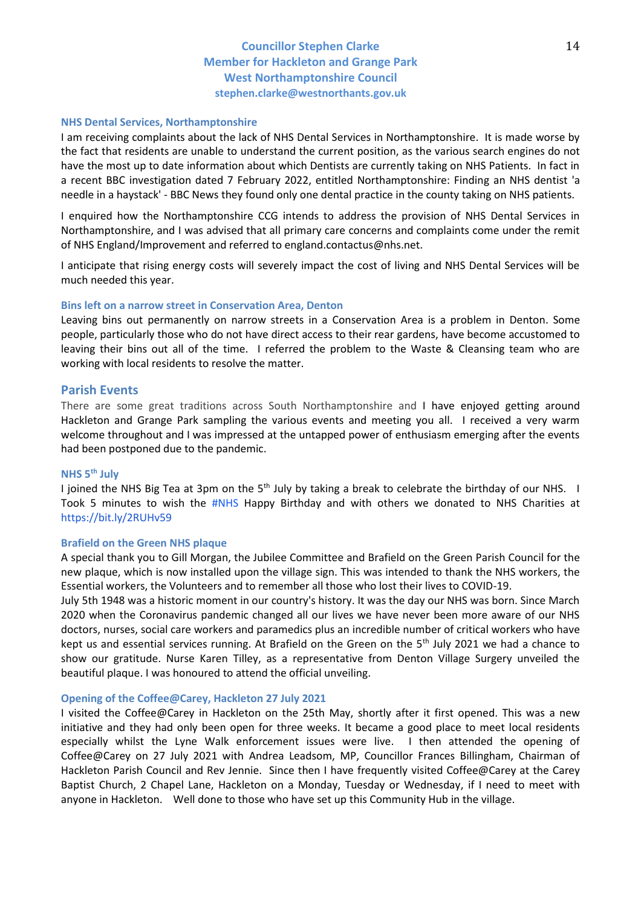#### **NHS Dental Services, Northamptonshire**

I am receiving complaints about the lack of NHS Dental Services in Northamptonshire. It is made worse by the fact that residents are unable to understand the current position, as the various search engines do not have the most up to date information about which Dentists are currently taking on NHS Patients. In fact in a recent BBC investigation dated 7 February 2022, entitled Northamptonshire: Finding an NHS dentist 'a needle in a haystack' - BBC News they found only one dental practice in the county taking on NHS patients.

I enquired how the Northamptonshire CCG intends to address the provision of NHS Dental Services in Northamptonshire, and I was advised that all primary care concerns and complaints come under the remit of NHS England/Improvement and referred to england.contactus@nhs.net.

I anticipate that rising energy costs will severely impact the cost of living and NHS Dental Services will be much needed this year.

### **Bins left on a narrow street in Conservation Area, Denton**

Leaving bins out permanently on narrow streets in a Conservation Area is a problem in Denton. Some people, particularly those who do not have direct access to their rear gardens, have become accustomed to leaving their bins out all of the time. I referred the problem to the Waste & Cleansing team who are working with local residents to resolve the matter.

### **Parish Events**

There are some great traditions across South Northamptonshire and I have enjoyed getting around Hackleton and Grange Park sampling the various events and meeting you all. I received a very warm welcome throughout and I was impressed at the untapped power of enthusiasm emerging after the events had been postponed due to the pandemic.

### **NHS 5th July**

I joined the NHS Big Tea at 3pm on the 5<sup>th</sup> July by taking a break to celebrate the birthday of our NHS. I Took 5 minutes to wish the [#NHS](https://www.facebook.com/hashtag/nhs?__eep__=6&__cft__%5B0%5D=AZXUh6hmhpn-9rafRC330agWXFDz6hshD6Of8M8tXJEWYdIuflokMsr-FumR5Z1HA2oFu75Xl2cwdICpX0UiJeRUC_b3VmzmtPLs_KkNMk6MpNMsakBNAH4fr8f9V6R-lfU&__tn__=*NK-R) Happy Birthday and with others we donated to NHS Charities at [https://bit.ly/2RUHv59](https://bit.ly/2RUHv59?fbclid=IwAR3K6ZpJbqD_KMsNgIRDHf2Bxnge_lwBswPK_Toef-CuneyqeVO0FYAH-2Y)

#### **Brafield on the Green NHS plaque**

A special thank you to Gill Morgan, the Jubilee Committee and Brafield on the Green Parish Council for the new plaque, which is now installed upon the village sign. This was intended to thank the NHS workers, the Essential workers, the Volunteers and to remember all those who lost their lives to COVID-19.

July 5th 1948 was a historic moment in our country's history. It was the day our NHS was born. Since March 2020 when the Coronavirus pandemic changed all our lives we have never been more aware of our NHS doctors, nurses, social care workers and paramedics plus an incredible number of critical workers who have kept us and essential services running. At Brafield on the Green on the  $5<sup>th</sup>$  July 2021 we had a chance to show our gratitude. Nurse Karen Tilley, as a representative from Denton Village Surgery unveiled the beautiful plaque. I was honoured to attend the official unveiling.

#### **Opening of the Coffee@Carey, Hackleton 27 July 2021**

I visited the Coffee@Carey in Hackleton on the 25th May, shortly after it first opened. This was a new initiative and they had only been open for three weeks. It became a good place to meet local residents especially whilst the Lyne Walk enforcement issues were live. I then attended the opening of Coffee@Carey on 27 July 2021 with Andrea Leadsom, MP, Councillor Frances Billingham, Chairman of Hackleton Parish Council and Rev Jennie. Since then I have frequently visited Coffee@Carey at the Carey Baptist Church, 2 Chapel Lane, Hackleton on a Monday, Tuesday or Wednesday, if I need to meet with anyone in Hackleton. Well done to those who have set up this Community Hub in the village.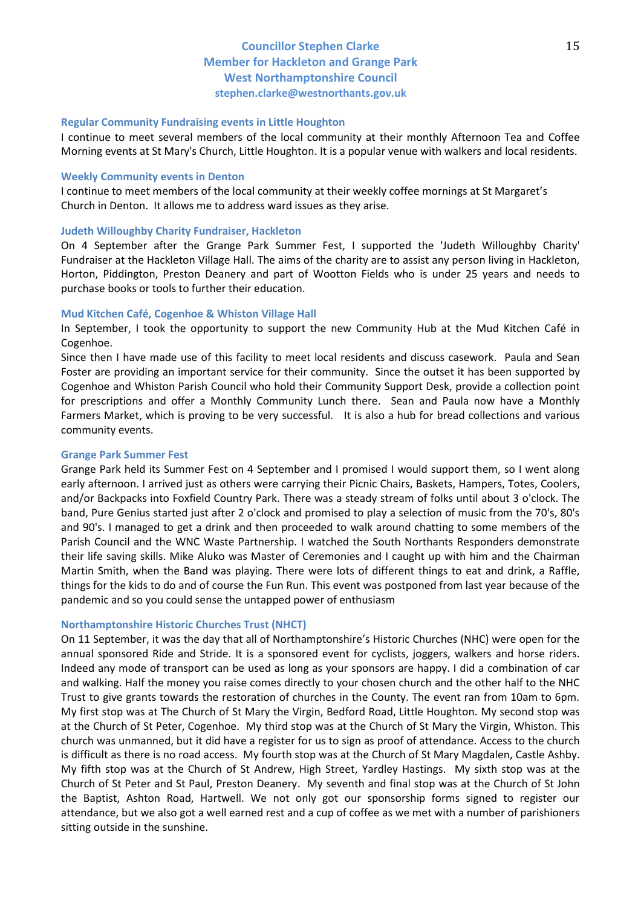#### **Regular Community Fundraising events in Little Houghton**

I continue to meet several members of the local community at their monthly Afternoon Tea and Coffee Morning events at St Mary's Church, Little Houghton. It is a popular venue with walkers and local residents.

#### **Weekly Community events in Denton**

I continue to meet members of the local community at their weekly coffee mornings at St Margaret's Church in Denton. It allows me to address ward issues as they arise.

#### **Judeth Willoughby Charity Fundraiser, Hackleton**

On 4 September after the Grange Park Summer Fest, I supported the 'Judeth Willoughby Charity' Fundraiser at the Hackleton Village Hall. The aims of the charity are to assist any person living in Hackleton, Horton, Piddington, Preston Deanery and part of Wootton Fields who is under 25 years and needs to purchase books or tools to further their education.

#### **Mud Kitchen Café, Cogenhoe & Whiston Village Hall**

In September, I took the opportunity to support the new Community Hub at the Mud Kitchen Café in Cogenhoe.

Since then I have made use of this facility to meet local residents and discuss casework. Paula and Sean Foster are providing an important service for their community. Since the outset it has been supported by Cogenhoe and Whiston Parish Council who hold their Community Support Desk, provide a collection point for prescriptions and offer a Monthly Community Lunch there. Sean and Paula now have a Monthly Farmers Market, which is proving to be very successful. It is also a hub for bread collections and various community events.

#### **Grange Park Summer Fest**

Grange Park held its Summer Fest on 4 September and I promised I would support them, so I went along early afternoon. I arrived just as others were carrying their Picnic Chairs, Baskets, Hampers, Totes, Coolers, and/or Backpacks into Foxfield Country Park. There was a steady stream of folks until about 3 o'clock. The band, Pure Genius started just after 2 o'clock and promised to play a selection of music from the 70's, 80's and 90's. I managed to get a drink and then proceeded to walk around chatting to some members of the Parish Council and the WNC Waste Partnership. I watched the South Northants Responders demonstrate their life saving skills. Mike Aluko was Master of Ceremonies and I caught up with him and the Chairman Martin Smith, when the Band was playing. There were lots of different things to eat and drink, a Raffle, things for the kids to do and of course the Fun Run. This event was postponed from last year because of the pandemic and so you could sense the untapped power of enthusiasm

#### **Northamptonshire Historic Churches Trust (NHCT)**

On 11 September, it was the day that all of Northamptonshire's Historic Churches (NHC) were open for the annual sponsored Ride and Stride. It is a sponsored event for cyclists, joggers, walkers and horse riders. Indeed any mode of transport can be used as long as your sponsors are happy. I did a combination of car and walking. Half the money you raise comes directly to your chosen church and the other half to the NHC Trust to give grants towards the restoration of churches in the County. The event ran from 10am to 6pm. My first stop was at The Church of St Mary the Virgin, Bedford Road, Little Houghton. My second stop was at the Church of St Peter, Cogenhoe. My third stop was at the Church of St Mary the Virgin, Whiston. This church was unmanned, but it did have a register for us to sign as proof of attendance. Access to the church is difficult as there is no road access. My fourth stop was at the Church of St Mary Magdalen, Castle Ashby. My fifth stop was at the Church of St Andrew, High Street, Yardley Hastings. My sixth stop was at the Church of St Peter and St Paul, Preston Deanery. My seventh and final stop was at the Church of St John the Baptist, Ashton Road, Hartwell. We not only got our sponsorship forms signed to register our attendance, but we also got a well earned rest and a cup of coffee as we met with a number of parishioners sitting outside in the sunshine.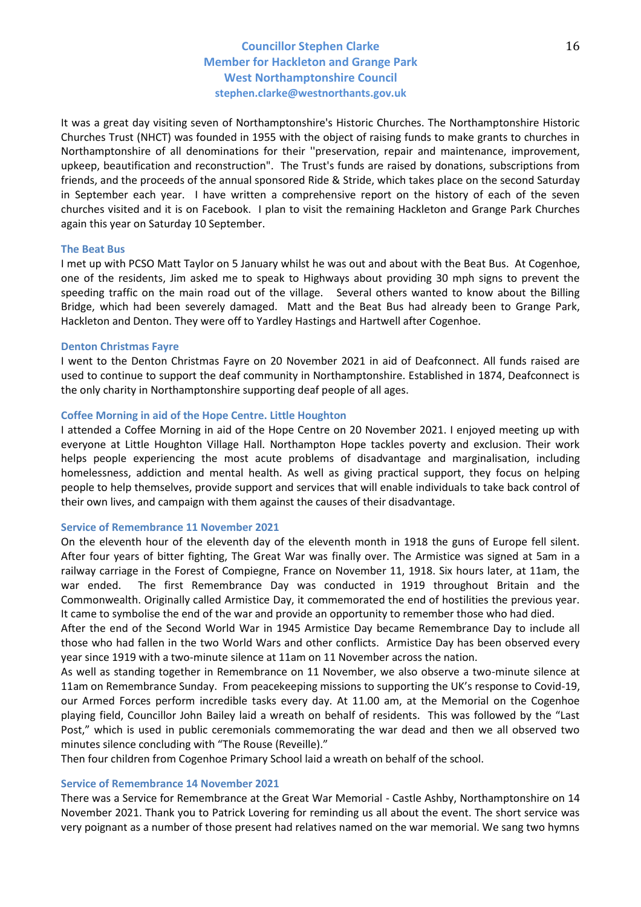It was a great day visiting seven of Northamptonshire's Historic Churches. The Northamptonshire Historic Churches Trust (NHCT) was founded in 1955 with the object of raising funds to make grants to churches in Northamptonshire of all denominations for their ''preservation, repair and maintenance, improvement, upkeep, beautification and reconstruction". The Trust's funds are raised by donations, subscriptions from friends, and the proceeds of the annual sponsored Ride & Stride, which takes place on the second Saturday in September each year. I have written a comprehensive report on the history of each of the seven churches visited and it is on Facebook. I plan to visit the remaining Hackleton and Grange Park Churches again this year on Saturday 10 September.

#### **The Beat Bus**

I met up with PCSO Matt Taylor on 5 January whilst he was out and about with the Beat Bus. At Cogenhoe, one of the residents, Jim asked me to speak to Highways about providing 30 mph signs to prevent the speeding traffic on the main road out of the village. Several others wanted to know about the Billing Bridge, which had been severely damaged. Matt and the Beat Bus had already been to Grange Park, Hackleton and Denton. They were off to Yardley Hastings and Hartwell after Cogenhoe.

#### **Denton Christmas Fayre**

I went to the Denton Christmas Fayre on 20 November 2021 in aid of Deafconnect. All funds raised are used to continue to support the deaf community in Northamptonshire. Established in 1874, Deafconnect is the only charity in Northamptonshire supporting deaf people of all ages.

#### **Coffee Morning in aid of the Hope Centre. Little Houghton**

I attended a Coffee Morning in aid of the Hope Centre on 20 November 2021. I enjoyed meeting up with everyone at Little Houghton Village Hall. Northampton Hope tackles poverty and exclusion. Their work helps people experiencing the most acute problems of disadvantage and marginalisation, including homelessness, addiction and mental health. As well as giving practical support, they focus on helping people to help themselves, provide support and services that will enable individuals to take back control of their own lives, and campaign with them against the causes of their disadvantage.

#### **Service of Remembrance 11 November 2021**

On the eleventh hour of the eleventh day of the eleventh month in 1918 the guns of Europe fell silent. After four years of bitter fighting, The Great War was finally over. The Armistice was signed at 5am in a railway carriage in the Forest of Compiegne, France on November 11, 1918. Six hours later, at 11am, the war ended. The first Remembrance Day was conducted in 1919 throughout Britain and the Commonwealth. Originally called Armistice Day, it commemorated the end of hostilities the previous year. It came to symbolise the end of the war and provide an opportunity to remember those who had died.

After the end of the Second World War in 1945 Armistice Day became Remembrance Day to include all those who had fallen in the two World Wars and other conflicts. Armistice Day has been observed every year since 1919 with a two-minute silence at 11am on 11 November across the nation.

As well as standing together in Remembrance on 11 November, we also observe a two-minute silence at 11am on Remembrance Sunday. From peacekeeping missions to supporting the UK's response to Covid-19, our Armed Forces perform incredible tasks every day. At 11.00 am, at the Memorial on the Cogenhoe playing field, Councillor John Bailey laid a wreath on behalf of residents. This was followed by the "Last Post," which is used in public ceremonials commemorating the war dead and then we all observed two minutes silence concluding with "The Rouse (Reveille)."

Then four children from Cogenhoe Primary School laid a wreath on behalf of the school.

### **Service of Remembrance 14 November 2021**

There was a Service for Remembrance at the Great War Memorial - Castle Ashby, Northamptonshire on 14 November 2021. Thank you to Patrick Lovering for reminding us all about the event. The short service was very poignant as a number of those present had relatives named on the war memorial. We sang two hymns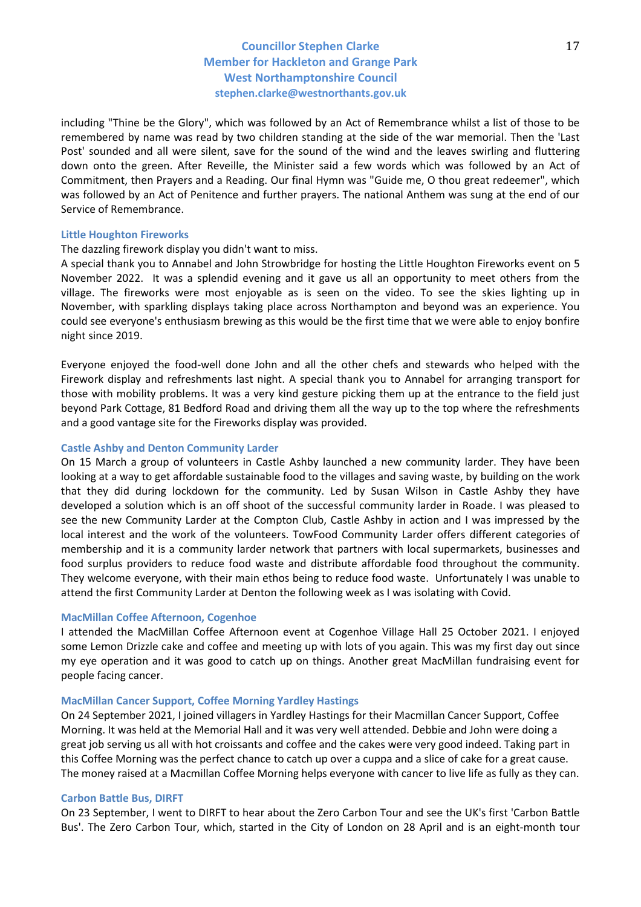including "Thine be the Glory", which was followed by an Act of Remembrance whilst a list of those to be remembered by name was read by two children standing at the side of the war memorial. Then the 'Last Post' sounded and all were silent, save for the sound of the wind and the leaves swirling and fluttering down onto the green. After Reveille, the Minister said a few words which was followed by an Act of Commitment, then Prayers and a Reading. Our final Hymn was "Guide me, O thou great redeemer", which was followed by an Act of Penitence and further prayers. The national Anthem was sung at the end of our Service of Remembrance.

#### **Little Houghton Fireworks**

### The dazzling firework display you didn't want to miss.

A special thank you to Annabel and John Strowbridge for hosting the Little Houghton Fireworks event on 5 November 2022. It was a splendid evening and it gave us all an opportunity to meet others from the village. The fireworks were most enjoyable as is seen on the video. To see the skies lighting up in November, with sparkling displays taking place across Northampton and beyond was an experience. You could see everyone's enthusiasm brewing as this would be the first time that we were able to enjoy bonfire night since 2019.

Everyone enjoyed the food-well done John and all the other chefs and stewards who helped with the Firework display and refreshments last night. A special thank you to Annabel for arranging transport for those with mobility problems. It was a very kind gesture picking them up at the entrance to the field just beyond Park Cottage, 81 Bedford Road and driving them all the way up to the top where the refreshments and a good vantage site for the Fireworks display was provided.

### **Castle Ashby and Denton Community Larder**

On 15 March a group of volunteers in Castle Ashby launched a new community larder. They have been looking at a way to get affordable sustainable food to the villages and saving waste, by building on the work that they did during lockdown for the community. Led by Susan Wilson in Castle Ashby they have developed a solution which is an off shoot of the successful community larder in Roade. I was pleased to see the new Community Larder at the Compton Club, Castle Ashby in action and I was impressed by the local interest and the work of the volunteers. TowFood Community Larder offers different categories of membership and it is a community larder network that partners with local supermarkets, businesses and food surplus providers to reduce food waste and distribute affordable food throughout the community. They welcome everyone, with their main ethos being to reduce food waste. Unfortunately I was unable to attend the first Community Larder at Denton the following week as I was isolating with Covid.

### **MacMillan Coffee Afternoon, Cogenhoe**

I attended the MacMillan Coffee Afternoon event at Cogenhoe Village Hall 25 October 2021. I enjoyed some Lemon Drizzle cake and coffee and meeting up with lots of you again. This was my first day out since my eye operation and it was good to catch up on things. Another great MacMillan fundraising event for people facing cancer.

#### **MacMillan Cancer Support, Coffee Morning Yardley Hastings**

On 24 September 2021, I joined villagers in Yardley Hastings for their Macmillan Cancer Support, Coffee Morning. It was held at the Memorial Hall and it was very well attended. Debbie and John were doing a great job serving us all with hot croissants and coffee and the cakes were very good indeed. Taking part in this Coffee Morning was the perfect chance to catch up over a cuppa and a slice of cake for a great cause. The money raised at a Macmillan Coffee Morning helps everyone with cancer to live life as fully as they can.

#### **Carbon Battle Bus, DIRFT**

On 23 September, I went to DIRFT to hear about the Zero Carbon Tour and see the UK's first 'Carbon Battle Bus'. The Zero Carbon Tour, which, started in the City of London on 28 April and is an eight-month tour